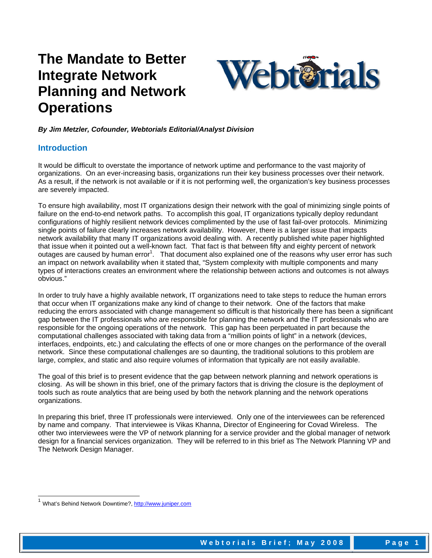# **The Mandate to Better Integrate Network Planning and Network Operations**



*By Jim Metzler, Cofounder, Webtorials Editorial/Analyst Division* 

### **Introduction**

It would be difficult to overstate the importance of network uptime and performance to the vast majority of organizations. On an ever-increasing basis, organizations run their key business processes over their network. As a result, if the network is not available or if it is not performing well, the organization's key business processes are severely impacted.

To ensure high availability, most IT organizations design their network with the goal of minimizing single points of failure on the end-to-end network paths. To accomplish this goal, IT organizations typically deploy redundant configurations of highly resilient network devices complimented by the use of fast fail-over protocols. Minimizing single points of failure clearly increases network availability. However, there is a larger issue that impacts network availability that many IT organizations avoid dealing with. A recently published white paper highlighted that issue when it pointed out a well-known fact. That fact is that between fifty and eighty percent of network outages are caused by human error<sup>1</sup>. That document also explained one of the reasons why user error has such an impact on network availability when it stated that, "System complexity with multiple components and many types of interactions creates an environment where the relationship between actions and outcomes is not always obvious."

In order to truly have a highly available network, IT organizations need to take steps to reduce the human errors that occur when IT organizations make any kind of change to their network. One of the factors that make reducing the errors associated with change management so difficult is that historically there has been a significant gap between the IT professionals who are responsible for planning the network and the IT professionals who are responsible for the ongoing operations of the network. This gap has been perpetuated in part because the computational challenges associated with taking data from a "million points of light" in a network (devices, interfaces, endpoints, etc.) and calculating the effects of one or more changes on the performance of the overall network. Since these computational challenges are so daunting, the traditional solutions to this problem are large, complex, and static and also require volumes of information that typically are not easily available.

The goal of this brief is to present evidence that the gap between network planning and network operations is closing. As will be shown in this brief, one of the primary factors that is driving the closure is the deployment of tools such as route analytics that are being used by both the network planning and the network operations organizations.

In preparing this brief, three IT professionals were interviewed. Only one of the interviewees can be referenced by name and company. That interviewee is Vikas Khanna, Director of Engineering for Covad Wireless. The other two interviewees were the VP of network planning for a service provider and the global manager of network design for a financial services organization. They will be referred to in this brief as The Network Planning VP and The Network Design Manager.

1

<sup>1</sup> What's Behind Network Downtime?, http://www.juniper.com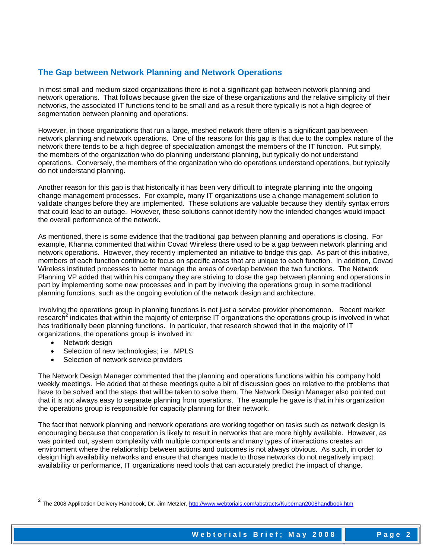## **The Gap between Network Planning and Network Operations**

In most small and medium sized organizations there is not a significant gap between network planning and network operations. That follows because given the size of these organizations and the relative simplicity of their networks, the associated IT functions tend to be small and as a result there typically is not a high degree of segmentation between planning and operations.

However, in those organizations that run a large, meshed network there often is a significant gap between network planning and network operations. One of the reasons for this gap is that due to the complex nature of the network there tends to be a high degree of specialization amongst the members of the IT function. Put simply, the members of the organization who do planning understand planning, but typically do not understand operations. Conversely, the members of the organization who do operations understand operations, but typically do not understand planning.

Another reason for this gap is that historically it has been very difficult to integrate planning into the ongoing change management processes. For example, many IT organizations use a change management solution to validate changes before they are implemented. These solutions are valuable because they identify syntax errors that could lead to an outage. However, these solutions cannot identify how the intended changes would impact the overall performance of the network.

As mentioned, there is some evidence that the traditional gap between planning and operations is closing. For example, Khanna commented that within Covad Wireless there used to be a gap between network planning and network operations. However, they recently implemented an initiative to bridge this gap. As part of this initiative, members of each function continue to focus on specific areas that are unique to each function. In addition, Covad Wireless instituted processes to better manage the areas of overlap between the two functions. The Network Planning VP added that within his company they are striving to close the gap between planning and operations in part by implementing some new processes and in part by involving the operations group in some traditional planning functions, such as the ongoing evolution of the network design and architecture.

Involving the operations group in planning functions is not just a service provider phenomenon. Recent market research<sup>2</sup> indicates that within the majority of enterprise IT organizations the operations group is involved in what has traditionally been planning functions. In particular, that research showed that in the majority of IT organizations, the operations group is involved in:

• Network design

l

- Selection of new technologies; i.e., MPLS
- Selection of network service providers

The Network Design Manager commented that the planning and operations functions within his company hold weekly meetings. He added that at these meetings quite a bit of discussion goes on relative to the problems that have to be solved and the steps that will be taken to solve them. The Network Design Manager also pointed out that it is not always easy to separate planning from operations. The example he gave is that in his organization the operations group is responsible for capacity planning for their network.

The fact that network planning and network operations are working together on tasks such as network design is encouraging because that cooperation is likely to result in networks that are more highly available. However, as was pointed out, system complexity with multiple components and many types of interactions creates an environment where the relationship between actions and outcomes is not always obvious. As such, in order to design high availability networks and ensure that changes made to those networks do not negatively impact availability or performance, IT organizations need tools that can accurately predict the impact of change.

<sup>&</sup>lt;sup>2</sup> The 2008 Application Delivery Handbook, Dr. Jim Metzler, http://www.webtorials.com/abstracts/Kubernan2008handbook.htm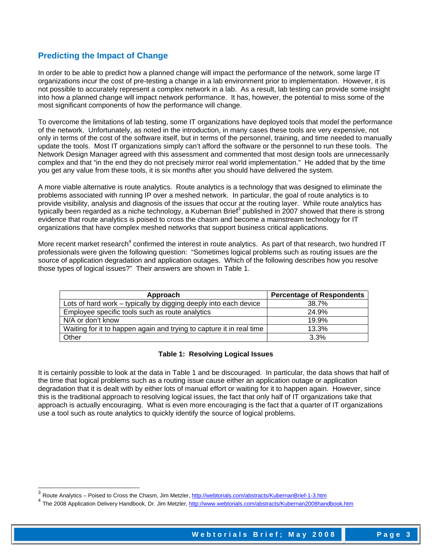## **Predicting the Impact of Change**

In order to be able to predict how a planned change will impact the performance of the network, some large IT organizations incur the cost of pre-testing a change in a lab environment prior to implementation. However, it is not possible to accurately represent a complex network in a lab. As a result, lab testing can provide some insight into how a planned change will impact network performance. It has, however, the potential to miss some of the most significant components of how the performance will change.

To overcome the limitations of lab testing, some IT organizations have deployed tools that model the performance of the network. Unfortunately, as noted in the introduction, in many cases these tools are very expensive, not only in terms of the cost of the software itself, but in terms of the personnel, training, and time needed to manually update the tools. Most IT organizations simply can't afford the software or the personnel to run these tools. The Network Design Manager agreed with this assessment and commented that most design tools are unnecessarily complex and that "in the end they do not precisely mirror real world implementation." He added that by the time you get any value from these tools, it is six months after you should have delivered the system.

A more viable alternative is route analytics. Route analytics is a technology that was designed to eliminate the problems associated with running IP over a meshed network. In particular, the goal of route analytics is to provide visibility, analysis and diagnosis of the issues that occur at the routing layer. While route analytics has typically been regarded as a niche technology, a Kubernan Brief<sup>3</sup> published in 2007 showed that there is strong evidence that route analytics is poised to cross the chasm and become a mainstream technology for IT organizations that have complex meshed networks that support business critical applications.

More recent market research<sup>4</sup> confirmed the interest in route analytics. As part of that research, two hundred IT professionals were given the following question: "Sometimes logical problems such as routing issues are the source of application degradation and application outages. Which of the following describes how you resolve those types of logical issues?" Their answers are shown in Table 1.

| Approach                                                             | <b>Percentage of Respondents</b> |
|----------------------------------------------------------------------|----------------------------------|
| Lots of hard work – typically by digging deeply into each device     | 38.7%                            |
| Employee specific tools such as route analytics                      | 24.9%                            |
| N/A or don't know                                                    | 19.9%                            |
| Waiting for it to happen again and trying to capture it in real time | 13.3%                            |
| Other                                                                | 3.3%                             |

#### **Table 1: Resolving Logical Issues**

It is certainly possible to look at the data in Table 1 and be discouraged. In particular, the data shows that half of the time that logical problems such as a routing issue cause either an application outage or application degradation that it is dealt with by either lots of manual effort or waiting for it to happen again. However, since this is the traditional approach to resolving logical issues, the fact that only half of IT organizations take that approach is actually encouraging. What is even more encouraging is the fact that a quarter of IT organizations use a tool such as route analytics to quickly identify the source of logical problems.

1

<sup>&</sup>lt;sup>3</sup> Route Analytics – Poised to Cross the Chasm, Jim Metzler, <u>http://webtorials.com/abstracts/KubernanBrief-1-3.htm</u>

<sup>4</sup> The 2008 Application Delivery Handbook, Dr. Jim Metzler, http://www.webtorials.com/abstracts/Kubernan2008handbook.htm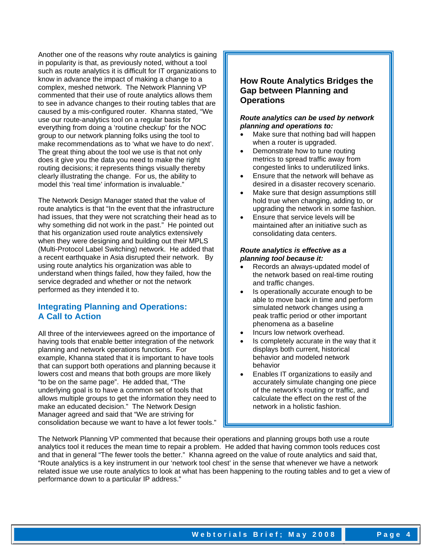Another one of the reasons why route analytics is gaining in popularity is that, as previously noted, without a tool such as route analytics it is difficult for IT organizations to know in advance the impact of making a change to a complex, meshed network. The Network Planning VP commented that their use of route analytics allows them to see in advance changes to their routing tables that are caused by a mis-configured router. Khanna stated, "We use our route-analytics tool on a regular basis for everything from doing a 'routine checkup' for the NOC group to our network planning folks using the tool to make recommendations as to 'what we have to do next'. The great thing about the tool we use is that not only does it give you the data you need to make the right routing decisions; it represents things visually thereby clearly illustrating the change. For us, the ability to model this 'real time' information is invaluable."

The Network Design Manager stated that the value of route analytics is that "In the event that the infrastructure had issues, that they were not scratching their head as to why something did not work in the past." He pointed out that his organization used route analytics extensively when they were designing and building out their MPLS (Multi-Protocol Label Switching) network. He added that a recent earthquake in Asia disrupted their network. By using route analytics his organization was able to understand when things failed, how they failed, how the service degraded and whether or not the network performed as they intended it to.

## **Integrating Planning and Operations: A Call to Action**

All three of the interviewees agreed on the importance of having tools that enable better integration of the network planning and network operations functions. For example, Khanna stated that it is important to have tools that can support both operations and planning because it lowers cost and means that both groups are more likely "to be on the same page". He added that, "The underlying goal is to have a common set of tools that allows multiple groups to get the information they need to make an educated decision." The Network Design Manager agreed and said that "We are striving for consolidation because we want to have a lot fewer tools."

## **How Route Analytics Bridges the Gap between Planning and Operations**

#### *Route analytics can be used by network planning and operations to:*

- Make sure that nothing bad will happen when a router is upgraded.
- Demonstrate how to tune routing metrics to spread traffic away from congested links to underutilized links.
- Ensure that the network will behave as desired in a disaster recovery scenario.
- Make sure that design assumptions still hold true when changing, adding to, or upgrading the network in some fashion.
- Ensure that service levels will be maintained after an initiative such as consolidating data centers.

#### *Route analytics is effective as a planning tool because it:*

- Records an always-updated model of the network based on real-time routing and traffic changes.
- Is operationally accurate enough to be able to move back in time and perform simulated network changes using a peak traffic period or other important phenomena as a baseline
- Incurs low network overhead.
- Is completely accurate in the way that it displays both current, historical behavior and modeled network behavior
- Enables IT organizations to easily and accurately simulate changing one piece of the network's routing or traffic, and calculate the effect on the rest of the network in a holistic fashion.

The Network Planning VP commented that because their operations and planning groups both use a route analytics tool it reduces the mean time to repair a problem. He added that having common tools reduces cost and that in general "The fewer tools the better." Khanna agreed on the value of route analytics and said that, "Route analytics is a key instrument in our 'network tool chest' in the sense that whenever we have a network related issue we use route analytics to look at what has been happening to the routing tables and to get a view of performance down to a particular IP address."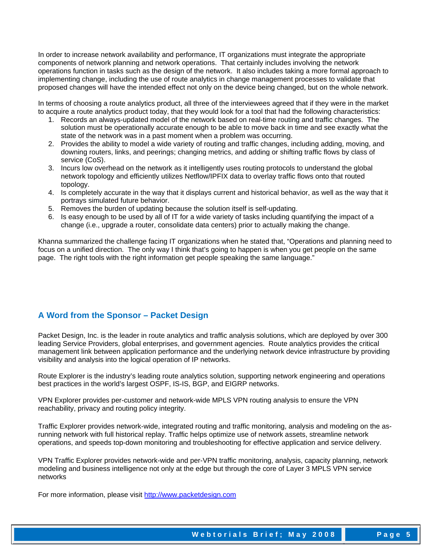In order to increase network availability and performance, IT organizations must integrate the appropriate components of network planning and network operations. That certainly includes involving the network operations function in tasks such as the design of the network. It also includes taking a more formal approach to implementing change, including the use of route analytics in change management processes to validate that proposed changes will have the intended effect not only on the device being changed, but on the whole network.

In terms of choosing a route analytics product, all three of the interviewees agreed that if they were in the market to acquire a route analytics product today, that they would look for a tool that had the following characteristics:

- 1. Records an always-updated model of the network based on real-time routing and traffic changes. The solution must be operationally accurate enough to be able to move back in time and see exactly what the state of the network was in a past moment when a problem was occurring.
- 2. Provides the ability to model a wide variety of routing and traffic changes, including adding, moving, and downing routers, links, and peerings; changing metrics, and adding or shifting traffic flows by class of service (CoS).
- 3. Incurs low overhead on the network as it intelligently uses routing protocols to understand the global network topology and efficiently utilizes Netflow/IPFIX data to overlay traffic flows onto that routed topology.
- 4. Is completely accurate in the way that it displays current and historical behavior, as well as the way that it portrays simulated future behavior.
- 5. Removes the burden of updating because the solution itself is self-updating.
- 6. Is easy enough to be used by all of IT for a wide variety of tasks including quantifying the impact of a change (i.e., upgrade a router, consolidate data centers) prior to actually making the change.

Khanna summarized the challenge facing IT organizations when he stated that, "Operations and planning need to focus on a unified direction. The only way I think that's going to happen is when you get people on the same page. The right tools with the right information get people speaking the same language."

## **A Word from the Sponsor – Packet Design**

Packet Design, Inc. is the leader in route analytics and traffic analysis solutions, which are deployed by over 300 leading Service Providers, global enterprises, and government agencies. Route analytics provides the critical management link between application performance and the underlying network device infrastructure by providing visibility and analysis into the logical operation of IP networks.

Route Explorer is the industry's leading route analytics solution, supporting network engineering and operations best practices in the world's largest OSPF, IS-IS, BGP, and EIGRP networks.

VPN Explorer provides per-customer and network-wide MPLS VPN routing analysis to ensure the VPN reachability, privacy and routing policy integrity.

Traffic Explorer provides network-wide, integrated routing and traffic monitoring, analysis and modeling on the asrunning network with full historical replay. Traffic helps optimize use of network assets, streamline network operations, and speeds top-down monitoring and troubleshooting for effective application and service delivery.

VPN Traffic Explorer provides network-wide and per-VPN traffic monitoring, analysis, capacity planning, network modeling and business intelligence not only at the edge but through the core of Layer 3 MPLS VPN service networks

For more information, please visit http://www.packetdesign.com